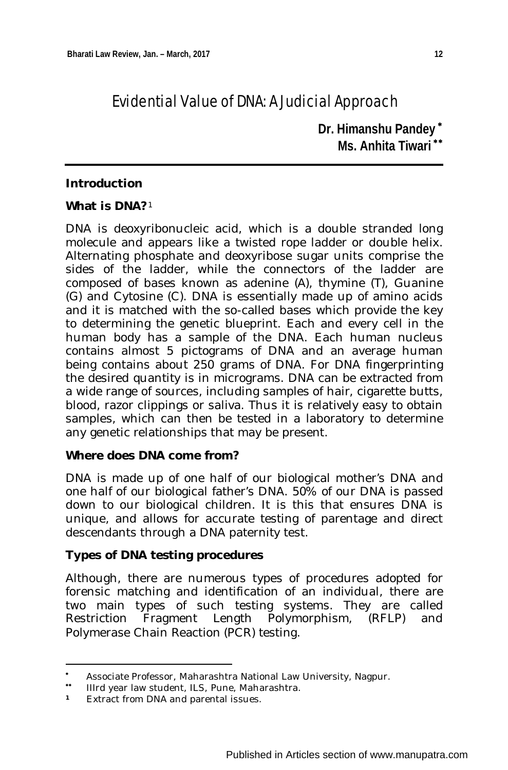# Evidential Value of DNA: A Judicial Approach

**Dr. Himanshu Pandey Ms. Anhita Tiwari**

### **Introduction**

#### **What is DNA?**<sup>1</sup>

DNA is deoxyribonucleic acid, which is a double stranded long molecule and appears like a twisted rope ladder or double helix. Alternating phosphate and deoxyribose sugar units comprise the sides of the ladder, while the connectors of the ladder are composed of bases known as adenine (A), thymine (T), Guanine (G) and Cytosine (C). DNA is essentially made up of amino acids and it is matched with the so-called bases which provide the key to determining the genetic blueprint. Each and every cell in the human body has a sample of the DNA. Each human nucleus contains almost 5 pictograms of DNA and an average human being contains about 250 grams of DNA. For DNA fingerprinting the desired quantity is in micrograms. DNA can be extracted from a wide range of sources, including samples of hair, cigarette butts, blood, razor clippings or saliva. Thus it is relatively easy to obtain samples, which can then be tested in a laboratory to determine any genetic relationships that may be present.

### **Where does DNA come from?**

DNA is made up of one half of our biological mother's DNA and one half of our biological father's DNA. 50% of our DNA is passed down to our biological children. It is this that ensures DNA is unique, and allows for accurate testing of parentage and direct descendants through a DNA paternity test.

### **Types of DNA testing procedures**

Although, there are numerous types of procedures adopted for forensic matching and identification of an individual, there are two main types of such testing systems. They are called Restriction Fragment Length Polymorphism, (RFLP) and Polymerase Chain Reaction (PCR) testing.

 $\overline{\phantom{a}}$ 

Associate Professor, Maharashtra National Law University, Nagpur.

<sup>\*\*</sup> IIIrd year law student, ILS, Pune, Maharashtra.

Extract from DNA and parental issues.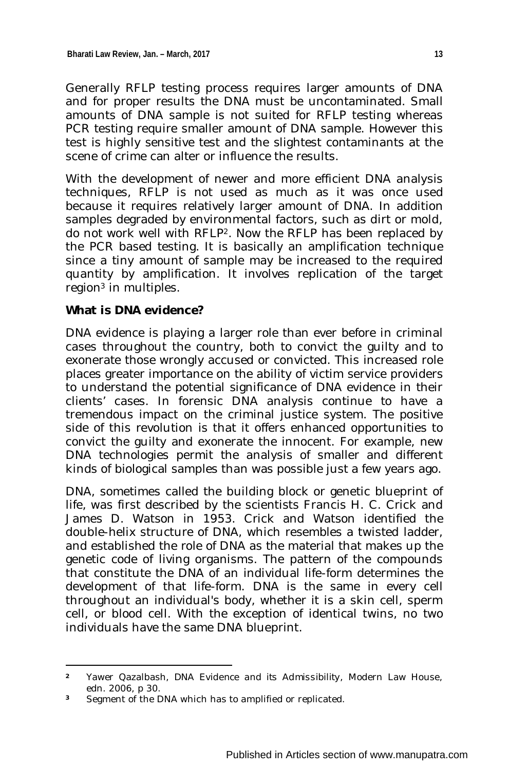Generally RFLP testing process requires larger amounts of DNA and for proper results the DNA must be uncontaminated. Small amounts of DNA sample is not suited for RFLP testing whereas PCR testing require smaller amount of DNA sample. However this test is highly sensitive test and the slightest contaminants at the scene of crime can alter or influence the results.

With the development of newer and more efficient DNA analysis techniques, RFLP is not used as much as it was once used because it requires relatively larger amount of DNA. In addition samples degraded by environmental factors, such as dirt or mold, do not work well with RFLP2. Now the RFLP has been replaced by the PCR based testing. It is basically an amplification technique since a tiny amount of sample may be increased to the required quantity by amplification. It involves replication of the target region<sup>3</sup> in multiples.

# **What is DNA evidence?**

DNA evidence is playing a larger role than ever before in criminal cases throughout the country, both to convict the guilty and to exonerate those wrongly accused or convicted. This increased role places greater importance on the ability of victim service providers to understand the potential significance of DNA evidence in their clients' cases. In forensic DNA analysis continue to have a tremendous impact on the criminal justice system. The positive side of this revolution is that it offers enhanced opportunities to convict the guilty and exonerate the innocent. For example, new DNA technologies permit the analysis of smaller and different kinds of biological samples than was possible just a few years ago.

DNA, sometimes called the building block or genetic blueprint of life, was first described by the scientists Francis H. C. Crick and James D. Watson in 1953. Crick and Watson identified the double-helix structure of DNA, which resembles a twisted ladder, and established the role of DNA as the material that makes up the genetic code of living organisms. The pattern of the compounds that constitute the DNA of an individual life-form determines the development of that life-form. DNA is the same in every cell throughout an individual's body, whether it is a skin cell, sperm cell, or blood cell. With the exception of identical twins, no two individuals have the same DNA blueprint.

 $\overline{a}$ **<sup>2</sup>** Yawer Qazalbash, *DNA Evidence and its Admissibility*, Modern Law House, edn. 2006, p 30.

**<sup>3</sup>** Segment of the DNA which has to amplified or replicated.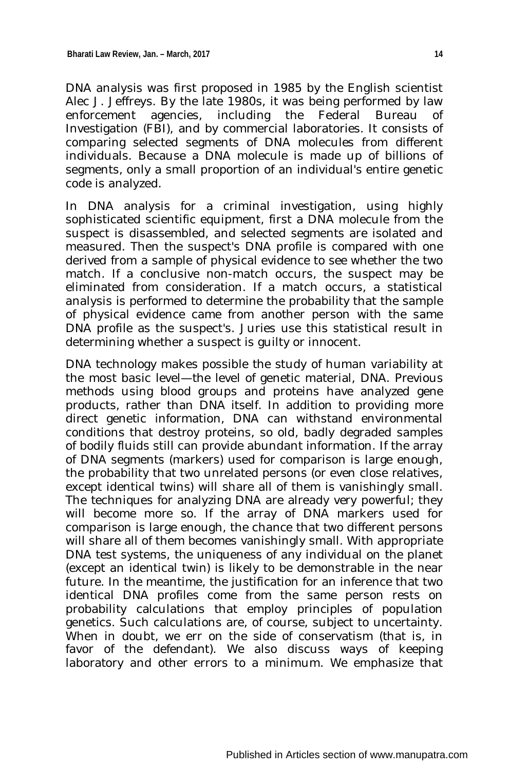DNA analysis was first proposed in 1985 by the English scientist Alec J. Jeffreys. By the late 1980s, it was being performed by law enforcement agencies, including the Federal Bureau of Investigation (FBI), and by commercial laboratories. It consists of comparing selected segments of DNA molecules from different individuals. Because a DNA molecule is made up of billions of segments, only a small proportion of an individual's entire genetic code is analyzed.

In DNA analysis for a criminal investigation, using highly sophisticated scientific equipment, first a DNA molecule from the suspect is disassembled, and selected segments are isolated and measured. Then the suspect's DNA profile is compared with one derived from a sample of physical evidence to see whether the two match. If a conclusive non-match occurs, the suspect may be eliminated from consideration. If a match occurs, a statistical analysis is performed to determine the probability that the sample of physical evidence came from another person with the same DNA profile as the suspect's. Juries use this statistical result in determining whether a suspect is guilty or innocent.

DNA technology makes possible the study of human variability at the most basic level—the level of genetic material, DNA. Previous methods using blood groups and proteins have analyzed gene products, rather than DNA itself. In addition to providing more direct genetic information, DNA can withstand environmental conditions that destroy proteins, so old, badly degraded samples of bodily fluids still can provide abundant information. If the array of DNA segments (markers) used for comparison is large enough, the probability that two unrelated persons (or even close relatives, except identical twins) will share all of them is vanishingly small. The techniques for analyzing DNA are already very powerful; they will become more so. If the array of DNA markers used for comparison is large enough, the chance that two different persons will share all of them becomes vanishingly small. With appropriate DNA test systems, the uniqueness of any individual on the planet (except an identical twin) is likely to be demonstrable in the near future. In the meantime, the justification for an inference that two identical DNA profiles come from the same person rests on probability calculations that employ principles of population genetics. Such calculations are, of course, subject to uncertainty. When in doubt, we err on the side of conservatism (that is, in favor of the defendant). We also discuss ways of keeping laboratory and other errors to a minimum. We emphasize that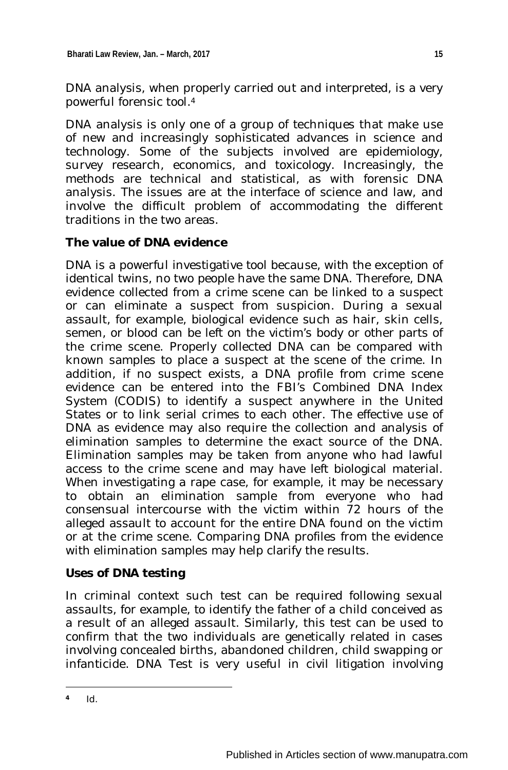DNA analysis, when properly carried out and interpreted, is a very powerful forensic tool.<sup>4</sup>

DNA analysis is only one of a group of techniques that make use of new and increasingly sophisticated advances in science and technology. Some of the subjects involved are epidemiology, survey research, economics, and toxicology. Increasingly, the methods are technical and statistical, as with forensic DNA analysis. The issues are at the interface of science and law, and involve the difficult problem of accommodating the different traditions in the two areas.

# **The value of DNA evidence**

DNA is a powerful investigative tool because, with the exception of identical twins, no two people have the same DNA. Therefore, DNA evidence collected from a crime scene can be linked to a suspect or can eliminate a suspect from suspicion. During a sexual assault, for example, biological evidence such as hair, skin cells, semen, or blood can be left on the victim's body or other parts of the crime scene. Properly collected DNA can be compared with known samples to place a suspect at the scene of the crime. In addition, if no suspect exists, a DNA profile from crime scene evidence can be entered into the FBI's Combined DNA Index System (CODIS) to identify a suspect anywhere in the United States or to link serial crimes to each other. The effective use of DNA as evidence may also require the collection and analysis of elimination samples to determine the exact source of the DNA. Elimination samples may be taken from anyone who had lawful access to the crime scene and may have left biological material. When investigating a rape case, for example, it may be necessary to obtain an elimination sample from everyone who had consensual intercourse with the victim within 72 hours of the alleged assault to account for the entire DNA found on the victim or at the crime scene. Comparing DNA profiles from the evidence with elimination samples may help clarify the results.

### **Uses of DNA testing**

In criminal context such test can be required following sexual assaults, for example, to identify the father of a child conceived as a result of an alleged assault. Similarly, this test can be used to confirm that the two individuals are genetically related in cases involving concealed births, abandoned children, child swapping or infanticide. DNA Test is very useful in civil litigation involving

 $\overline{a}$ **<sup>4</sup>** *Id.*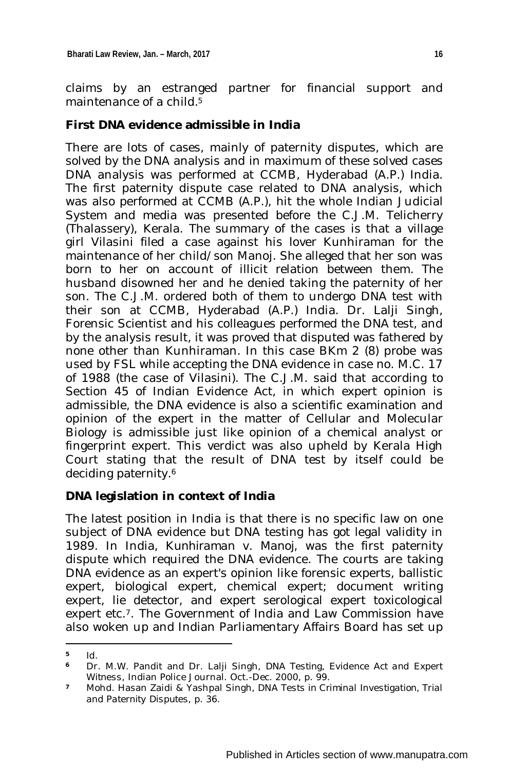claims by an estranged partner for financial support and maintenance of a child.<sup>5</sup>

# **First DNA evidence admissible in India**

There are lots of cases, mainly of paternity disputes, which are solved by the DNA analysis and in maximum of these solved cases DNA analysis was performed at CCMB, Hyderabad (A.P.) India. The first paternity dispute case related to DNA analysis, which was also performed at CCMB (A.P.), hit the whole Indian Judicial System and media was presented before the C.J.M. Telicherry (Thalassery), Kerala. The summary of the cases is that a village girl Vilasini filed a case against his lover Kunhiraman for the maintenance of her child/son Manoj. She alleged that her son was born to her on account of illicit relation between them. The husband disowned her and he denied taking the paternity of her son. The C.J.M. ordered both of them to undergo DNA test with their son at CCMB, Hyderabad (A.P.) India. Dr. Lalji Singh, Forensic Scientist and his colleagues performed the DNA test, and by the analysis result, it was proved that disputed was fathered by none other than Kunhiraman. In this case BKm 2 (8) probe was used by FSL while accepting the DNA evidence in case no. M.C. 17 of 1988 (the case of Vilasini). The C.J.M. said that according to Section 45 of Indian Evidence Act, in which expert opinion is admissible, the DNA evidence is also a scientific examination and opinion of the expert in the matter of Cellular and Molecular Biology is admissible just like opinion of a chemical analyst or fingerprint expert. This verdict was also upheld by Kerala High Court stating that the result of DNA test by itself could be deciding paternity.<sup>6</sup>

# **DNA legislation in context of India**

The latest position in India is that there is no specific law on one subject of DNA evidence but DNA testing has got legal validity in 1989. In India, *Kunhiraman v. Manoj*, was the first paternity dispute which required the DNA evidence. The courts are taking DNA evidence as an expert's opinion like forensic experts, ballistic expert, biological expert, chemical expert; document writing expert, lie detector, and expert serological expert toxicological expert etc.7. The Government of India and Law Commission have also woken up and Indian Parliamentary Affairs Board has set up

 $\overline{a}$ 

 $\frac{5}{6}$  *Id.* 

**<sup>6</sup>** Dr. M.W. Pandit and Dr. Lalji Singh, *DNA Testing, Evidence Act and Expert Witness*, Indian Police Journal. Oct.-Dec. 2000, p. 99.

**<sup>7</sup>** Mohd. Hasan Zaidi & Yashpal Singh, *DNA Tests in Criminal Investigation, Trial and Paternity Disputes*, p. 36.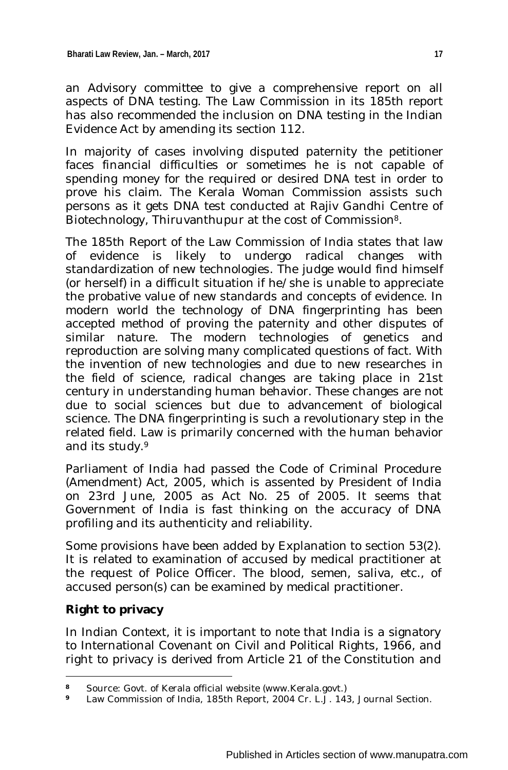an Advisory committee to give a comprehensive report on all aspects of DNA testing. The Law Commission in its 185th report has also recommended the inclusion on DNA testing in the Indian Evidence Act by amending its section 112.

In majority of cases involving disputed paternity the petitioner faces financial difficulties or sometimes he is not capable of spending money for the required or desired DNA test in order to prove his claim. The Kerala Woman Commission assists such persons as it gets DNA test conducted at Rajiv Gandhi Centre of Biotechnology, Thiruvanthupur at the cost of Commission8.

The 185th Report of the Law Commission of India states that law of evidence is likely to undergo radical changes with standardization of new technologies. The judge would find himself (or herself) in a difficult situation if he/she is unable to appreciate the probative value of new standards and concepts of evidence. In modern world the technology of DNA fingerprinting has been accepted method of proving the paternity and other disputes of similar nature. The modern technologies of genetics and reproduction are solving many complicated questions of fact. With the invention of new technologies and due to new researches in the field of science, radical changes are taking place in 21st century in understanding human behavior. These changes are not due to social sciences but due to advancement of biological science. The DNA fingerprinting is such a revolutionary step in the related field. Law is primarily concerned with the human behavior and its study.<sup>9</sup>

Parliament of India had passed the Code of Criminal Procedure (Amendment) Act, 2005, which is assented by President of India on 23rd June, 2005 as Act No. 25 of 2005. It seems that Government of India is fast thinking on the accuracy of DNA profiling and its authenticity and reliability.

Some provisions have been added by Explanation to section 53(2). It is related to examination of accused by medical practitioner at the request of Police Officer. The blood, semen, saliva, etc., of accused person(s) can be examined by medical practitioner.

### **Right to privacy**

In Indian Context, it is important to note that India is a signatory to International Covenant on Civil and Political Rights, 1966, and right to privacy is derived from Article 21 of the Constitution and

 $\overline{a}$ **<sup>8</sup>** Source: Govt. of Kerala official website (www.Kerala.govt.)

Law Commission of India, 185th Report, 2004 Cr. L.J. 143, Journal Section.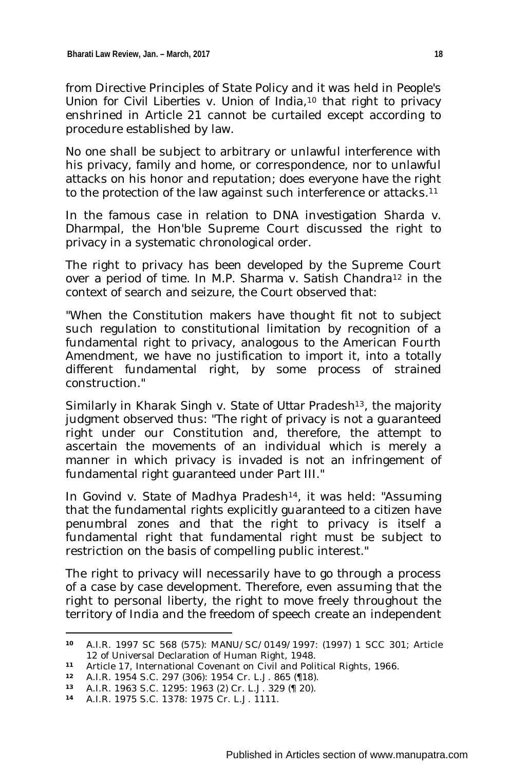from Directive Principles of State Policy and it was held in *People's Union for Civil Liberties v. Union of India*, <sup>10</sup> that right to privacy enshrined in Article 21 cannot be curtailed except according to procedure established by law.

No one shall be subject to arbitrary or unlawful interference with his privacy, family and home, or correspondence, nor to unlawful attacks on his honor and reputation; does everyone have the right to the protection of the law against such interference or attacks.<sup>11</sup>

In the famous case in relation to DNA investigation *Sharda v. Dharmpal*, the Hon'ble Supreme Court discussed the right to privacy in a systematic chronological order.

The right to privacy has been developed by the Supreme Court over a period of time. In *M.P. Sharma v. Satish Chandra*<sup>12</sup> in the context of search and seizure, the Court observed that:

"When the Constitution makers have thought fit not to subject such regulation to constitutional limitation by recognition of a fundamental right to privacy, analogous to the American Fourth Amendment, we have no justification to import it, into a totally different fundamental right, by some process of strained construction."

Similarly in *Kharak Singh v. State of Uttar Pradesh*13, the majority judgment observed thus: "The right of privacy is not a guaranteed right under our Constitution and, therefore, the attempt to ascertain the movements of an individual which is merely a manner in which privacy is invaded is not an infringement of fundamental right guaranteed under Part III."

In *Govind v. State of Madhya Pradesh*14, it was held: "Assuming that the fundamental rights explicitly guaranteed to a citizen have penumbral zones and that the right to privacy is itself a fundamental right that fundamental right must be subject to restriction on the basis of compelling public interest."

The right to privacy will necessarily have to go through a process of a case by case development. Therefore, even assuming that the right to personal liberty, the right to move freely throughout the territory of India and the freedom of speech create an independent

 $\overline{\phantom{a}}$ **<sup>10</sup>** A.I.R. 1997 SC 568 (575): MANU/SC/0149/1997: (1997) 1 SCC 301; Article 12 of Universal Declaration of Human Right, 1948.

**<sup>11</sup>** Article 17, International Covenant on Civil and Political Rights, 1966.

**<sup>12</sup>** A.I.R. 1954 S.C. 297 (306): 1954 Cr. L.J. 865 (¶18).

**<sup>13</sup>** A.I.R. 1963 S.C. 1295: 1963 (2) Cr. L.J. 329 (¶ 20).

**<sup>14</sup>** A.I.R. 1975 S.C. 1378: 1975 Cr. L.J. 1111.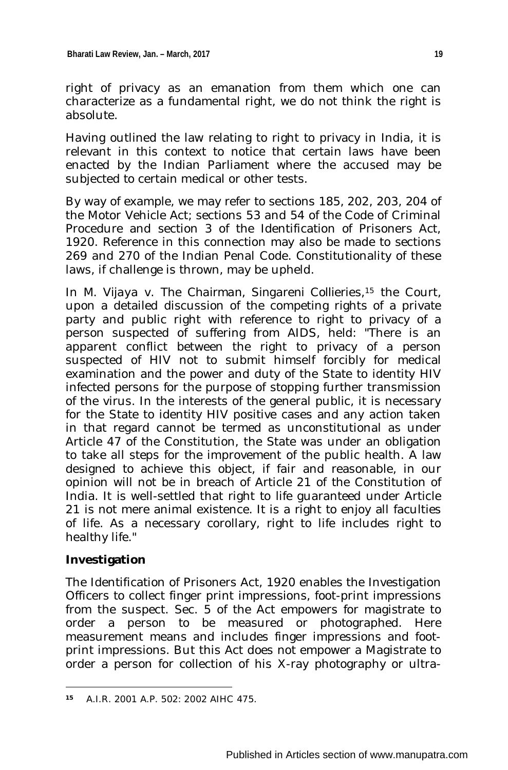right of privacy as an emanation from them which one can characterize as a fundamental right, we do not think the right is absolute.

Having outlined the law relating to right to privacy in India, it is relevant in this context to notice that certain laws have been enacted by the Indian Parliament where the accused may be subjected to certain medical or other tests.

By way of example, we may refer to sections 185, 202, 203, 204 of the Motor Vehicle Act; sections 53 and 54 of the Code of Criminal Procedure and section 3 of the Identification of Prisoners Act, 1920. Reference in this connection may also be made to sections 269 and 270 of the Indian Penal Code. Constitutionality of these laws, if challenge is thrown, may be upheld.

In *M. Vijaya v. The Chairman, Singareni Collieries*, <sup>15</sup> the Court, upon a detailed discussion of the competing rights of a private party and public right with reference to right to privacy of a person suspected of suffering from AIDS, held: "There is an apparent conflict between the right to privacy of a person suspected of HIV not to submit himself forcibly for medical examination and the power and duty of the State to identity HIV infected persons for the purpose of stopping further transmission of the virus. In the interests of the general public, it is necessary for the State to identity HIV positive cases and any action taken in that regard cannot be termed as unconstitutional as under Article 47 of the Constitution, the State was under an obligation to take all steps for the improvement of the public health. A law designed to achieve this object, if fair and reasonable, in our opinion will not be in breach of Article 21 of the Constitution of India. It is well-settled that right to life guaranteed under Article 21 is not mere animal existence. It is a right to enjoy all faculties of life. As a necessary corollary, right to life includes right to healthy life."

# **Investigation**

 $\overline{a}$ 

The Identification of Prisoners Act, 1920 enables the Investigation Officers to collect finger print impressions, foot-print impressions from the suspect. Sec. 5 of the Act empowers for magistrate to order a person to be measured or photographed. Here measurement means and includes finger impressions and footprint impressions. But this Act does not empower a Magistrate to order a person for collection of his X-ray photography or ultra-

**<sup>15</sup>** A.I.R. 2001 A.P. 502: 2002 AIHC 475.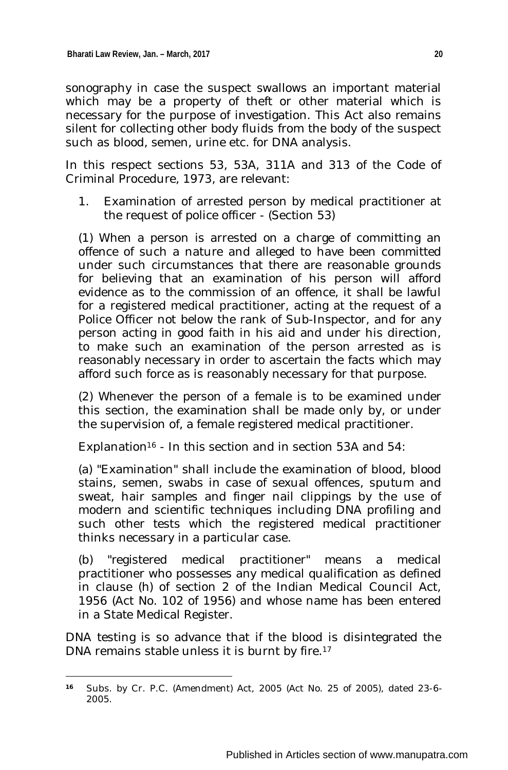sonography in case the suspect swallows an important material which may be a property of theft or other material which is necessary for the purpose of investigation. This Act also remains silent for collecting other body fluids from the body of the suspect such as blood, semen, urine etc. for DNA analysis.

In this respect sections 53, 53A, 311A and 313 of the Code of Criminal Procedure, 1973, are relevant:

1. Examination of arrested person by medical practitioner at the request of police officer - (Section 53)

(1) When a person is arrested on a charge of committing an offence of such a nature and alleged to have been committed under such circumstances that there are reasonable grounds for believing that an examination of his person will afford evidence as to the commission of an offence, it shall be lawful for a registered medical practitioner, acting at the request of a Police Officer not below the rank of Sub-Inspector, and for any person acting in good faith in his aid and under his direction, to make such an examination of the person arrested as is reasonably necessary in order to ascertain the facts which may afford such force as is reasonably necessary for that purpose.

(2) Whenever the person of a female is to be examined under this section, the examination shall be made only by, or under the supervision of, a female registered medical practitioner.

Explanation<sup>16</sup> - In this section and in section 53A and 54:

(a) "Examination" shall include the examination of blood, blood stains, semen, swabs in case of sexual offences, sputum and sweat, hair samples and finger nail clippings by the use of modern and scientific techniques including DNA profiling and such other tests which the registered medical practitioner thinks necessary in a particular case.

(b) "registered medical practitioner" means a medical practitioner who possesses any medical qualification as defined in clause (h) of section 2 of the Indian Medical Council Act, 1956 (Act No. 102 of 1956) and whose name has been entered in a State Medical Register.

DNA testing is so advance that if the blood is disintegrated the DNA remains stable unless it is burnt by fire.<sup>17</sup>

 $\overline{a}$ **<sup>16</sup>** Subs. by Cr. P.C. (Amendment) Act, 2005 (Act No. 25 of 2005), dated 23-6- 2005.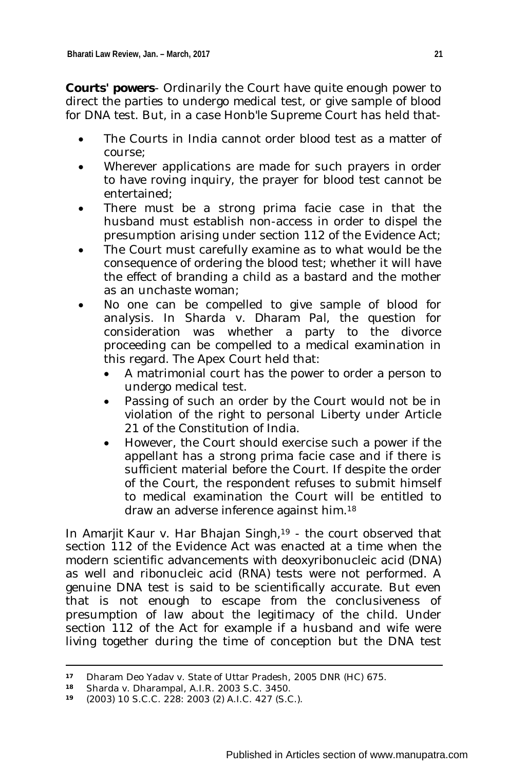**Courts' powers**- Ordinarily the Court have quite enough power to direct the parties to undergo medical test, or give sample of blood for DNA test. But, in a case Honb'le Supreme Court has held that-

- The Courts in India cannot order blood test as a matter of course;
- Wherever applications are made for such prayers in order to have roving inquiry, the prayer for blood test cannot be entertained;
- There must be a strong prima facie case in that the husband must establish non-access in order to dispel the presumption arising under section 112 of the Evidence Act;
- The Court must carefully examine as to what would be the consequence of ordering the blood test; whether it will have the effect of branding a child as a bastard and the mother as an unchaste woman;
- No one can be compelled to give sample of blood for analysis. In *Sharda v. Dharam Pal*, the question for consideration was whether a party to the divorce proceeding can be compelled to a medical examination in this regard. The Apex Court held that:
	- A matrimonial court has the power to order a person to undergo medical test.
	- Passing of such an order by the Court would not be in violation of the right to personal Liberty under Article 21 of the Constitution of India.
	- However, the Court should exercise such a power if the appellant has a strong prima facie case and if there is sufficient material before the Court. If despite the order of the Court, the respondent refuses to submit himself to medical examination the Court will be entitled to draw an adverse inference against him.<sup>18</sup>

In *Amarjit Kaur v. Har Bhajan Singh*, <sup>19</sup> - the court observed that section 112 of the Evidence Act was enacted at a time when the modern scientific advancements with deoxyribonucleic acid (DNA) as well and ribonucleic acid (RNA) tests were not performed. A genuine DNA test is said to be scientifically accurate. But even that is not enough to escape from the conclusiveness of presumption of law about the legitimacy of the child. Under section 112 of the Act for example if a husband and wife were living together during the time of conception but the DNA test

 $\overline{a}$ **<sup>17</sup>** Dharam Deo Yadav v. State of Uttar Pradesh, 2005 DNR (HC) 675.

**<sup>18</sup>**Sharda v. Dharampal, A.I.R. 2003 S.C. 3450.

**<sup>19</sup>** (2003) 10 S.C.C. 228: 2003 (2) A.I.C. 427 (S.C.).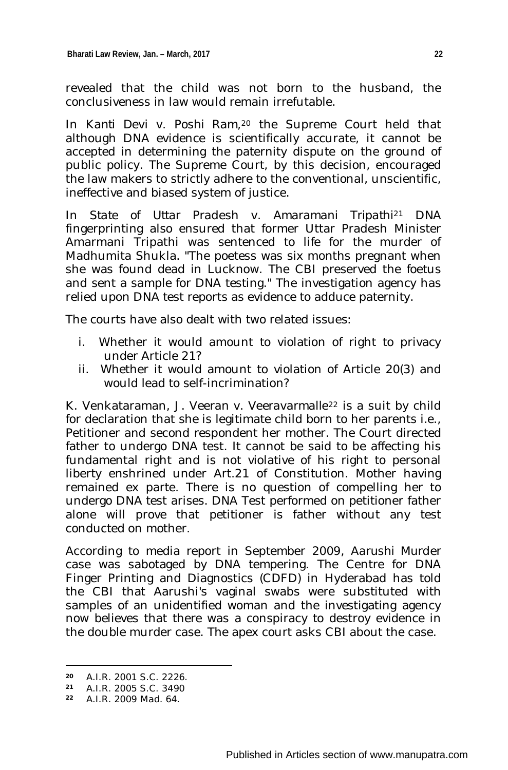revealed that the child was not born to the husband, the conclusiveness in law would remain irrefutable.

In *Kanti Devi v. Poshi Ram*, <sup>20</sup> the Supreme Court held that although DNA evidence is scientifically accurate, it cannot be accepted in determining the paternity dispute on the ground of public policy. The Supreme Court, by this decision, encouraged the law makers to strictly adhere to the conventional, unscientific, ineffective and biased system of justice.

In *State of Uttar Pradesh v. Amaramani Tripathi*<sup>21</sup> DNA fingerprinting also ensured that former Uttar Pradesh Minister Amarmani Tripathi was sentenced to life for the murder of Madhumita Shukla. "The poetess was six months pregnant when she was found dead in Lucknow. The CBI preserved the foetus and sent a sample for DNA testing." The investigation agency has relied upon DNA test reports as evidence to adduce paternity.

The courts have also dealt with two related issues:

- i. Whether it would amount to violation of right to privacy under Article 21?
- ii. Whether it would amount to violation of Article 20(3) and would lead to self-incrimination?

K. Venkataraman, *J. Veeran v. Veeravarmalle*<sup>22</sup> is a suit by child for declaration that she is legitimate child born to her parents i.e., Petitioner and second respondent her mother. The Court directed father to undergo DNA test. It cannot be said to be affecting his fundamental right and is not violative of his right to personal liberty enshrined under Art.21 of Constitution. Mother having remained ex parte. There is no question of compelling her to undergo DNA test arises. DNA Test performed on petitioner father alone will prove that petitioner is father without any test conducted on mother.

According to media report in September 2009, *Aarushi Murder* case was sabotaged by DNA tempering. The Centre for DNA Finger Printing and Diagnostics (CDFD) in Hyderabad has told the CBI that Aarushi's vaginal swabs were substituted with samples of an unidentified woman and the investigating agency now believes that there was a conspiracy to destroy evidence in the double murder case. The apex court asks CBI about the case.

 $\overline{a}$ 

**<sup>20</sup>** A.I.R. 2001 S.C. 2226.

**<sup>21</sup>** A.I.R. 2005 S.C. 3490

**<sup>22</sup>** A.I.R. 2009 Mad. 64.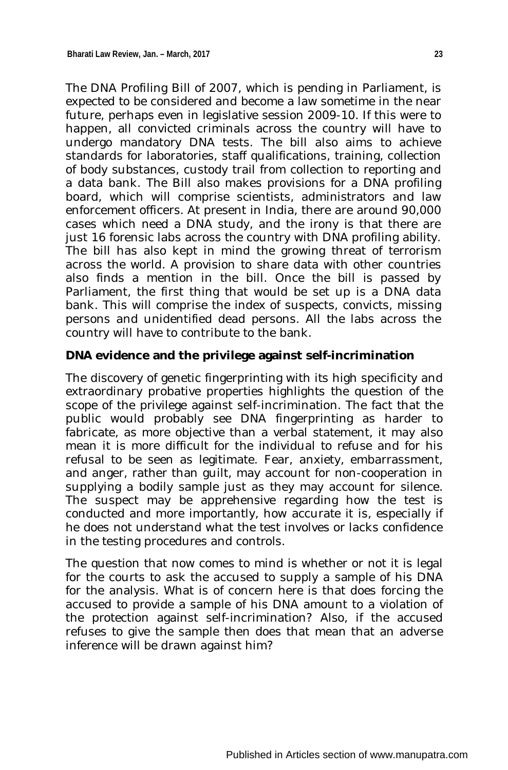The DNA Profiling Bill of 2007, which is pending in Parliament, is expected to be considered and become a law sometime in the near future, perhaps even in legislative session 2009-10. If this were to happen, all convicted criminals across the country will have to undergo mandatory DNA tests. The bill also aims to achieve standards for laboratories, staff qualifications, training, collection of body substances, custody trail from collection to reporting and a data bank. The Bill also makes provisions for a DNA profiling board, which will comprise scientists, administrators and law enforcement officers. At present in India, there are around 90,000 cases which need a DNA study, and the irony is that there are just 16 forensic labs across the country with DNA profiling ability. The bill has also kept in mind the growing threat of terrorism across the world. A provision to share data with other countries also finds a mention in the bill. Once the bill is passed by Parliament, the first thing that would be set up is a DNA data bank. This will comprise the index of suspects, convicts, missing persons and unidentified dead persons. All the labs across the country will have to contribute to the bank.

#### **DNA evidence and the privilege against self-incrimination**

The discovery of genetic fingerprinting with its high specificity and extraordinary probative properties highlights the question of the scope of the privilege against self-incrimination. The fact that the public would probably see DNA fingerprinting as harder to fabricate, as more objective than a verbal statement, it may also mean it is more difficult for the individual to refuse and for his refusal to be seen as legitimate. Fear, anxiety, embarrassment, and anger, rather than guilt, may account for non-cooperation in supplying a bodily sample just as they may account for silence. The suspect may be apprehensive regarding how the test is conducted and more importantly, how accurate it is, especially if he does not understand what the test involves or lacks confidence in the testing procedures and controls.

The question that now comes to mind is whether or not it is legal for the courts to ask the accused to supply a sample of his DNA for the analysis. What is of concern here is that does forcing the accused to provide a sample of his DNA amount to a violation of the protection against self-incrimination? Also, if the accused refuses to give the sample then does that mean that an adverse inference will be drawn against him?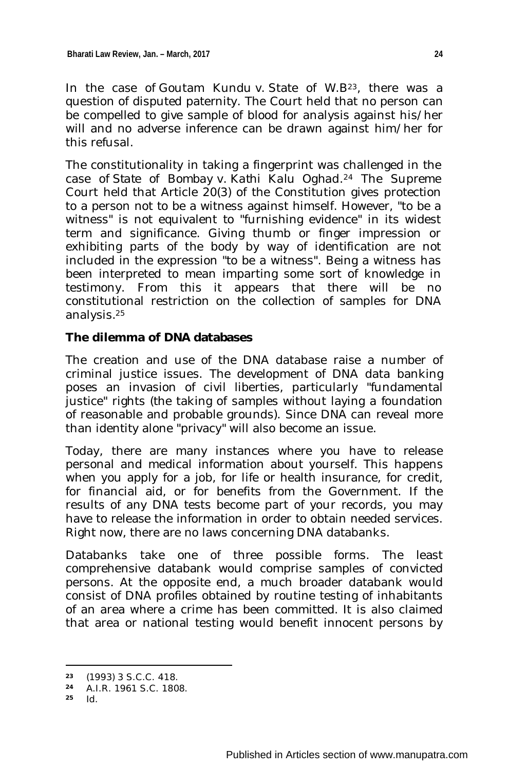In the case of Goutam Kundu *v.* State of W.B23*,* there was a question of disputed paternity. The Court held that no person can be compelled to give sample of blood for analysis against his/her will and no adverse inference can be drawn against him/her for this refusal.

The constitutionality in taking a fingerprint was challenged in the case of *State of Bombay v. Kathi Kalu Oghad*. <sup>24</sup> The Supreme Court held that Article 20(3) of the Constitution gives protection to a person not to be a witness against himself. However, "to be a witness" is not equivalent to "furnishing evidence" in its widest term and significance. Giving thumb or finger impression or exhibiting parts of the body by way of identification are not included in the expression "to be a witness". Being a witness has been interpreted to mean imparting some sort of knowledge in testimony. From this it appears that there will be no constitutional restriction on the collection of samples for DNA analysis.<sup>25</sup>

### **The dilemma of DNA databases**

The creation and use of the DNA database raise a number of criminal justice issues. The development of DNA data banking poses an invasion of civil liberties, particularly "fundamental justice" rights (the taking of samples without laying a foundation of reasonable and probable grounds). Since DNA can reveal more than identity alone "privacy" will also become an issue.

Today, there are many instances where you have to release personal and medical information about yourself. This happens when you apply for a job, for life or health insurance, for credit, for financial aid, or for benefits from the Government. If the results of any DNA tests become part of your records, you may have to release the information in order to obtain needed services. Right now, there are no laws concerning DNA databanks.

Databanks take one of three possible forms. The least comprehensive databank would comprise samples of convicted persons. At the opposite end, a much broader databank would consist of DNA profiles obtained by routine testing of inhabitants of an area where a crime has been committed. It is also claimed that area or national testing would benefit innocent persons by

 $\overline{a}$ 

**<sup>23</sup>** (1993) 3 S.C.C. 418.

**<sup>24</sup>** A.I.R. 1961 S.C. 1808.

**<sup>25</sup>** *Id*.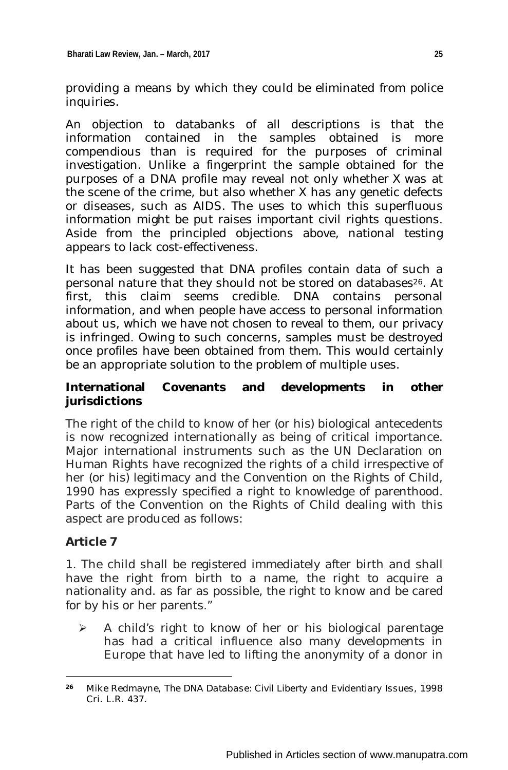providing a means by which they could be eliminated from police inquiries.

An objection to databanks of all descriptions is that the information contained in the samples obtained is more compendious than is required for the purposes of criminal investigation. Unlike a fingerprint the sample obtained for the purposes of a DNA profile may reveal not only whether X was at the scene of the crime, but also whether X has any genetic defects or diseases, such as AIDS. The uses to which this superfluous information might be put raises important civil rights questions. Aside from the principled objections above, national testing appears to lack cost-effectiveness.

It has been suggested that DNA profiles contain data of such a personal nature that they should not be stored on databases<sup>26</sup>. At first, this claim seems credible. DNA contains personal information, and when people have access to personal information about us, which we have not chosen to reveal to them, our privacy is infringed. Owing to such concerns, samples must be destroyed once profiles have been obtained from them. This would certainly be an appropriate solution to the problem of multiple uses.

# **International Covenants and developments in other jurisdictions**

The right of the child to know of her (or his) biological antecedents is now recognized internationally as being of critical importance. Major international instruments such as the UN Declaration on Human Rights have recognized the rights of a child irrespective of her (or his) legitimacy and the Convention on the Rights of Child, 1990 has expressly specified a right to knowledge of parenthood. Parts of the Convention on the Rights of Child dealing with this aspect are produced as follows:

# **Article 7**

1. The child shall be registered immediately after birth and shall have the right from birth to a name, the right to acquire a nationality and. as far as possible, the right to know and be cared for by his or her parents."

 $\triangleright$  A child's right to know of her or his biological parentage has had a critical influence also many developments in Europe that have led to lifting the anonymity of a donor in

 $\overline{a}$ **<sup>26</sup>** Mike Redmayne, *The DNA Database: Civil Liberty and Evidentiary Issues*, 1998 Cri. L.R. 437.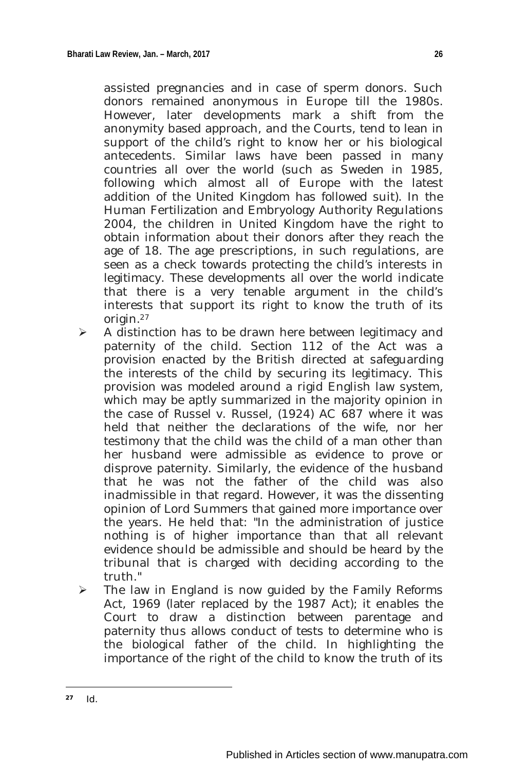assisted pregnancies and in case of sperm donors. Such donors remained anonymous in Europe till the 1980s. However, later developments mark a shift from the anonymity based approach, and the Courts, tend to lean in support of the child's right to know her or his biological antecedents. Similar laws have been passed in many countries all over the world (such as Sweden in 1985, following which almost all of Europe with the latest addition of the United Kingdom has followed suit). In the Human Fertilization and Embryology Authority Regulations 2004, the children in United Kingdom have the right to obtain information about their donors after they reach the age of 18. The age prescriptions, in such regulations, are seen as a check towards protecting the child's interests in legitimacy. These developments all over the world indicate that there is a very tenable argument in the child's interests that support its right to know the truth of its origin.<sup>27</sup>

- $\triangleright$  A distinction has to be drawn here between legitimacy and paternity of the child. Section 112 of the Act was a provision enacted by the British directed at safeguarding the interests of the child by securing its legitimacy. This provision was modeled around a rigid English law system, which may be aptly summarized in the majority opinion in the case of *Russel v. Russel*, (1924) AC 687 where it was held that neither the declarations of the wife, nor her testimony that the child was the child of a man other than her husband were admissible as evidence to prove or disprove paternity. Similarly, the evidence of the husband that he was not the father of the child was also inadmissible in that regard. However, it was the dissenting opinion of Lord Summers that gained more importance over the years. He held that: "In the administration of justice nothing is of higher importance than that all relevant evidence should be admissible and should be heard by the tribunal that is charged with deciding according to the truth."
- $\triangleright$  The law in England is now guided by the Family Reforms Act, 1969 (later replaced by the 1987 Act); it enables the Court to draw a distinction between parentage and paternity thus allows conduct of tests to determine who is the biological father of the child. In highlighting the importance of the right of the child to know the truth of its

 $\overline{a}$ **<sup>27</sup>** *Id*.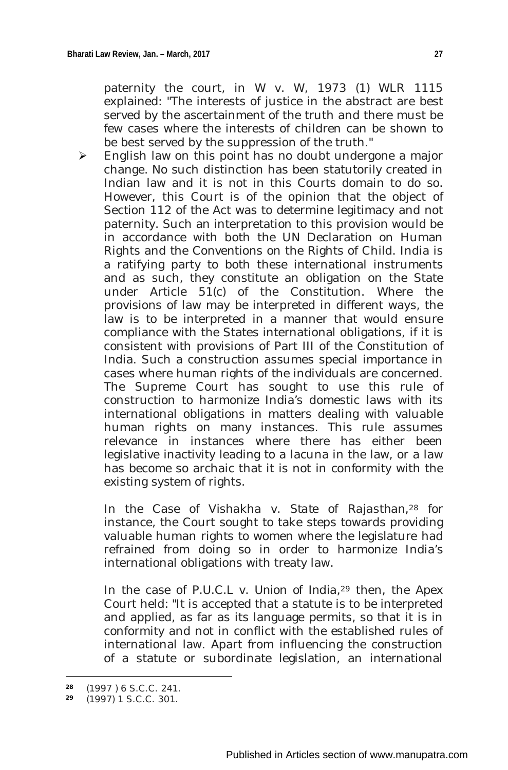paternity the court, in *W v. W*, 1973 (1) WLR 1115 explained: "The interests of justice in the abstract are best served by the ascertainment of the truth and there must be few cases where the interests of children can be shown to be best served by the suppression of the truth."

English law on this point has no doubt undergone a major change. No such distinction has been statutorily created in Indian law and it is not in this Courts domain to do so. However, this Court is of the opinion that the object of Section 112 of the Act was to determine legitimacy and not paternity. Such an interpretation to this provision would be in accordance with both the UN Declaration on Human Rights and the Conventions on the Rights of Child. India is a ratifying party to both these international instruments and as such, they constitute an obligation on the State under Article 51(c) of the Constitution. Where the provisions of law may be interpreted in different ways, the law is to be interpreted in a manner that would ensure compliance with the States international obligations, if it is consistent with provisions of Part III of the Constitution of India. Such a construction assumes special importance in cases where human rights of the individuals are concerned. The Supreme Court has sought to use this rule of construction to harmonize India's domestic laws with its international obligations in matters dealing with valuable human rights on many instances. This rule assumes relevance in instances where there has either been legislative inactivity leading to a lacuna in the law, or a law has become so archaic that it is not in conformity with the existing system of rights.

In the Case of *Vishakha v. State of Rajasthan*, <sup>28</sup> for instance, the Court sought to take steps towards providing valuable human rights to women where the legislature had refrained from doing so in order to harmonize India's international obligations with treaty law.

In the case of *P.U.C.L v. Union of India*, <sup>29</sup> then, the Apex Court held: "It is accepted that a statute is to be interpreted and applied, as far as its language permits, so that it is in conformity and not in conflict with the established rules of international law. Apart from influencing the construction of a statute or subordinate legislation, an international

 $\overline{a}$ **<sup>28</sup>** (1997 ) 6 S.C.C. 241.

**<sup>29</sup>** (1997) 1 S.C.C. 301.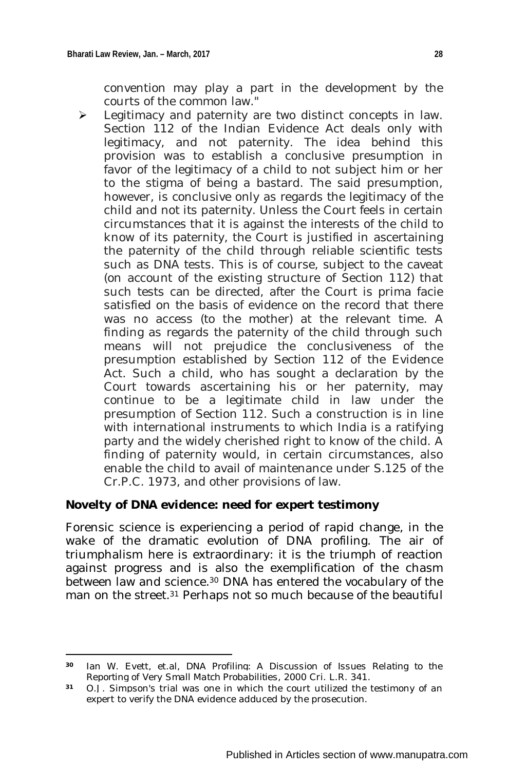convention may play a part in the development by the courts of the common law."

Elegitimacy and paternity are two distinct concepts in law. Section 112 of the Indian Evidence Act deals only with legitimacy, and not paternity. The idea behind this provision was to establish a conclusive presumption in favor of the legitimacy of a child to not subject him or her to the stigma of being a bastard. The said presumption, however, is conclusive only as regards the legitimacy of the child and not its paternity. Unless the Court feels in certain circumstances that it is against the interests of the child to know of its paternity, the Court is justified in ascertaining the paternity of the child through reliable scientific tests such as DNA tests. This is of course, subject to the caveat (on account of the existing structure of Section 112) that such tests can be directed, after the Court is prima facie satisfied on the basis of evidence on the record that there was no access (to the mother) at the relevant time. A finding as regards the paternity of the child through such means will not prejudice the conclusiveness of the presumption established by Section 112 of the Evidence Act. Such a child, who has sought a declaration by the Court towards ascertaining his or her paternity, may continue to be a legitimate child in law under the presumption of Section 112. Such a construction is in line with international instruments to which India is a ratifying party and the widely cherished right to know of the child. A finding of paternity would, in certain circumstances, also enable the child to avail of maintenance under S.125 of the Cr.P.C. 1973, and other provisions of law.

### **Novelty of DNA evidence: need for expert testimony**

 $\overline{a}$ 

Forensic science is experiencing a period of rapid change, in the wake of the dramatic evolution of DNA profiling. The air of triumphalism here is extraordinary: it is the triumph of reaction against progress and is also the exemplification of the chasm between law and science.<sup>30</sup> DNA has entered the vocabulary of the man on the street.<sup>31</sup> Perhaps not so much because of the beautiful

**<sup>30</sup>** Ian W. Evett, et.al, *DNA Profiling: A Discussion of Issues Relating to the Reporting of Very Small Match Probabilities*, 2000 Cri. L.R. 341.

**<sup>31</sup>** O.J. Simpson's trial was one in which the court utilized the testimony of an expert to verify the DNA evidence adduced by the prosecution.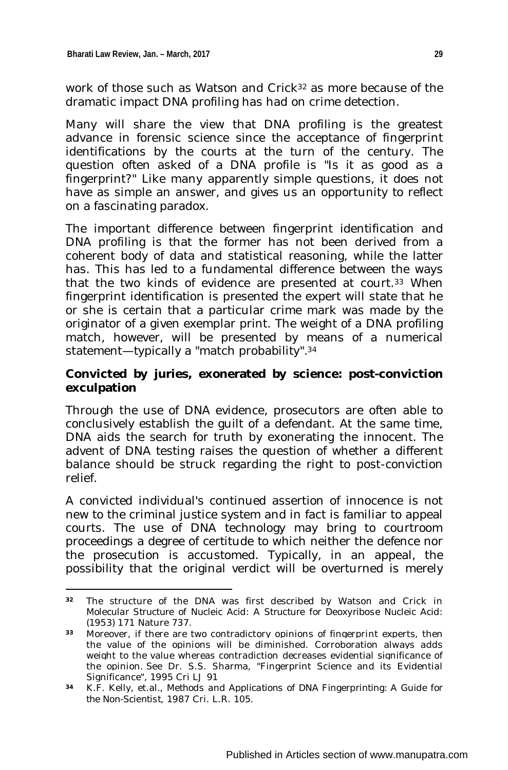$\overline{a}$ 

work of those such as Watson and Crick<sup>32</sup> as more because of the dramatic impact DNA profiling has had on crime detection.

Many will share the view that DNA profiling is the greatest advance in forensic science since the acceptance of fingerprint identifications by the courts at the turn of the century. The question often asked of a DNA profile is "Is it as good as a fingerprint?" Like many apparently simple questions, it does not have as simple an answer, and gives us an opportunity to reflect on a fascinating paradox.

The important difference between fingerprint identification and DNA profiling is that the former has not been derived from a coherent body of data and statistical reasoning, while the latter has. This has led to a fundamental difference between the ways that the two kinds of evidence are presented at court.<sup>33</sup> When fingerprint identification is presented the expert will state that he or she is certain that a particular crime mark was made by the originator of a given exemplar print. The weight of a DNA profiling match, however, will be presented by means of a numerical statement—typically a "match probability". 34

### **Convicted by juries, exonerated by science: post-conviction exculpation**

Through the use of DNA evidence, prosecutors are often able to conclusively establish the guilt of a defendant. At the same time, DNA aids the search for truth by exonerating the innocent. The advent of DNA testing raises the question of whether a different balance should be struck regarding the right to post-conviction relief.

A convicted individual's continued assertion of innocence is not new to the criminal justice system and in fact is familiar to appeal courts. The use of DNA technology may bring to courtroom proceedings a degree of certitude to which neither the defence nor the prosecution is accustomed. Typically, in an appeal, the possibility that the original verdict will be overturned is merely

**<sup>32</sup>** The structure of the DNA was first described by Watson and Crick in *Molecular Structure of Nucleic Acid: A Structure for Deoxyribose Nucleic Acid*: (1953) 171 Nature 737.

**<sup>33</sup>** Moreover, if there are two contradictory opinions of fingerprint experts, then the value of the opinions will be diminished. Corroboration always adds weight to the value whereas contradiction decreases evidential significance of the opinion. *See* Dr. S.S. Sharma, "Fingerprint Science and its Evidential Significance", 1995 Cri LJ 91

**<sup>34</sup>** K.F. Kelly, et.al., *Methods and Applications of DNA Fingerprinting: A Guide for the Non-Scientist*, 1987 Cri. L.R. 105.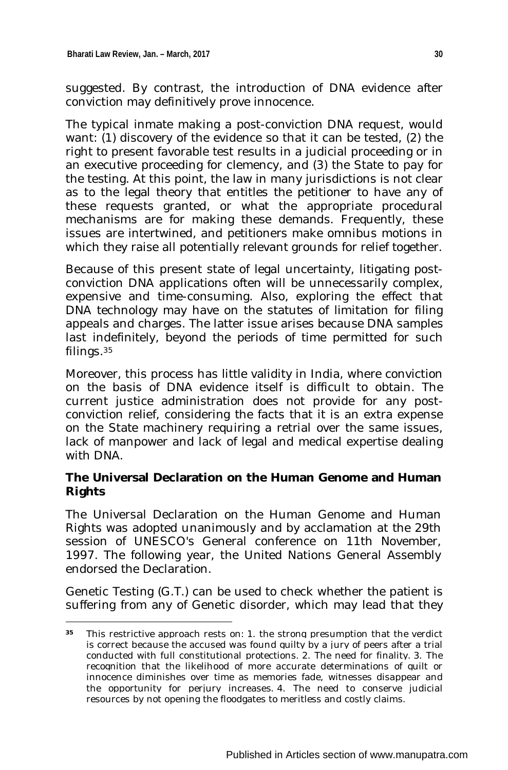suggested. By contrast, the introduction of DNA evidence after conviction may definitively prove innocence.

The typical inmate making a post-conviction DNA request, would want: (*1*) discovery of the evidence so that it can be tested, (*2*) the right to present favorable test results in a judicial proceeding or in an executive proceeding for clemency, and (*3*) the State to pay for the testing. At this point, the law in many jurisdictions is not clear as to the legal theory that entitles the petitioner to have any of these requests granted, or what the appropriate procedural mechanisms are for making these demands. Frequently, these issues are intertwined, and petitioners make omnibus motions in which they raise all potentially relevant grounds for relief together.

Because of this present state of legal uncertainty, litigating postconviction DNA applications often will be unnecessarily complex, expensive and time-consuming. Also, exploring the effect that DNA technology may have on the statutes of limitation for filing appeals and charges. The latter issue arises because DNA samples last indefinitely, beyond the periods of time permitted for such filings.<sup>35</sup>

Moreover, this process has little validity in India, where conviction on the basis of DNA evidence itself is difficult to obtain. The current justice administration does not provide for any postconviction relief, considering the facts that it is an extra expense on the State machinery requiring a retrial over the same issues, lack of manpower and lack of legal and medical expertise dealing with DNA.

# **The Universal Declaration on the Human Genome and Human Rights**

The Universal Declaration on the Human Genome and Human Rights was adopted unanimously and by acclamation at the 29th session of UNESCO's General conference on 11th November, 1997. The following year, the United Nations General Assembly endorsed the Declaration.

Genetic Testing (G.T.) can be used to check whether the patient is suffering from any of Genetic disorder, which may lead that they

 $\overline{\phantom{a}}$ **<sup>35</sup>** This restrictive approach rests on: *1*. the strong presumption that the verdict is correct because the accused was found guilty by a jury of peers after a trial conducted with full constitutional protections. *2*. The need for finality. *3*. The recognition that the likelihood of more accurate determinations of guilt or innocence diminishes over time as memories fade, witnesses disappear and the opportunity for perjury increases. *4*. The need to conserve judicial resources by not opening the floodgates to meritless and costly claims.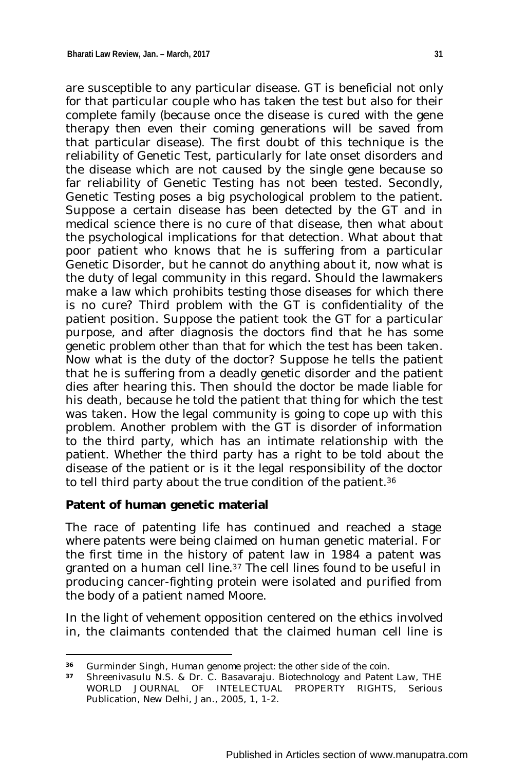are susceptible to any particular disease. GT is beneficial not only for that particular couple who has taken the test but also for their complete family (because once the disease is cured with the gene therapy then even their coming generations will be saved from that particular disease). The first doubt of this technique is the reliability of Genetic Test, particularly for late onset disorders and the disease which are not caused by the single gene because so far reliability of Genetic Testing has not been tested. Secondly, Genetic Testing poses a big psychological problem to the patient. Suppose a certain disease has been detected by the GT and in medical science there is no cure of that disease, then what about the psychological implications for that detection. What about that poor patient who knows that he is suffering from a particular Genetic Disorder, but he cannot do anything about it, now what is the duty of legal community in this regard. Should the lawmakers make a law which prohibits testing those diseases for which there is no cure? Third problem with the GT is confidentiality of the patient position. Suppose the patient took the GT for a particular purpose, and after diagnosis the doctors find that he has some genetic problem other than that for which the test has been taken. Now what is the duty of the doctor? Suppose he tells the patient that he is suffering from a deadly genetic disorder and the patient dies after hearing this. Then should the doctor be made liable for his death, because he told the patient that thing for which the test was taken. How the legal community is going to cope up with this problem. Another problem with the GT is disorder of information to the third party, which has an intimate relationship with the patient. Whether the third party has a right to be told about the disease of the patient or is it the legal responsibility of the doctor to tell third party about the true condition of the patient. 36

### **Patent of human genetic material**

The race of patenting life has continued and reached a stage where patents were being claimed on human genetic material. For the first time in the history of patent law in 1984 a patent was granted on a human cell line. <sup>37</sup> The cell lines found to be useful in producing cancer-fighting protein were isolated and purified from the body of a patient named Moore.

In the light of vehement opposition centered on the ethics involved in, the claimants contended that the claimed human cell line is

 $\overline{a}$ **<sup>36</sup>** Gurminder Singh, *Human genome project: the other side of the coin*.

**<sup>37</sup>** Shreenivasulu N.S. & Dr. C. Basavaraju. *Biotechnology and Patent Law*, THE WORLD JOURNAL OF INTELECTUAL PROPERTY RIGHTS, Serious Publication, New Delhi, Jan., 2005, 1, 1-2.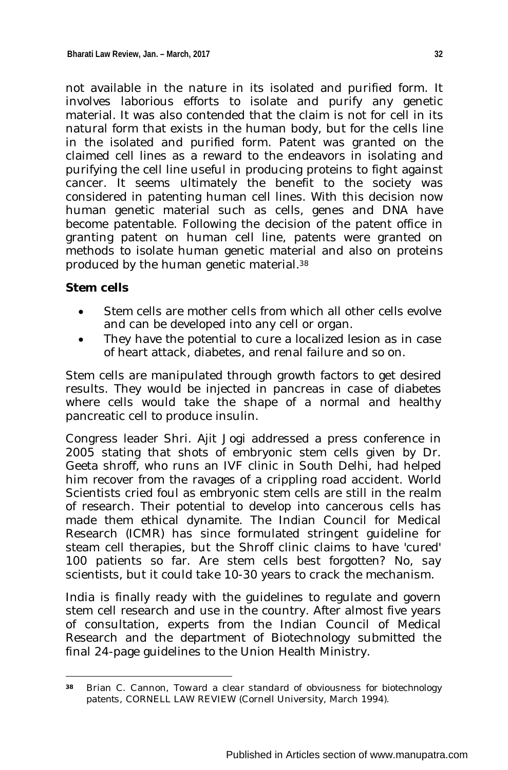not available in the nature in its isolated and purified form. It involves laborious efforts to isolate and purify any genetic material. It was also contended that the claim is not for cell in its natural form that exists in the human body, but for the cells line in the isolated and purified form. Patent was granted on the claimed cell lines as a reward to the endeavors in isolating and purifying the cell line useful in producing proteins to fight against cancer. It seems ultimately the benefit to the society was considered in patenting human cell lines. With this decision now human genetic material such as cells, genes and DNA have become patentable. Following the decision of the patent office in granting patent on human cell line, patents were granted on methods to isolate human genetic material and also on proteins produced by the human genetic material. 38

# **Stem cells**

- Stem cells are mother cells from which all other cells evolve and can be developed into any cell or organ.
- They have the potential to cure a localized lesion as in case of heart attack, diabetes, and renal failure and so on.

Stem cells are manipulated through growth factors to get desired results. They would be injected in pancreas in case of diabetes where cells would take the shape of a normal and healthy pancreatic cell to produce insulin.

Congress leader Shri. Ajit Jogi addressed a press conference in 2005 stating that shots of embryonic stem cells given by Dr. Geeta shroff, who runs an IVF clinic in South Delhi, had helped him recover from the ravages of a crippling road accident. World Scientists cried foul as embryonic stem cells are still in the realm of research. Their potential to develop into cancerous cells has made them ethical dynamite. The Indian Council for Medical Research (ICMR) has since formulated stringent guideline for steam cell therapies, but the Shroff clinic claims to have 'cured' 100 patients so far. Are stem cells best forgotten? No, say scientists, but it could take 10-30 years to crack the mechanism.

India is finally ready with the guidelines to regulate and govern stem cell research and use in the country. After almost five years of consultation, experts from the Indian Council of Medical Research and the department of Biotechnology submitted the final 24-page guidelines to the Union Health Ministry.

 $\overline{a}$ **<sup>38</sup>** Brian C. Cannon, *Toward a clear standard of obviousness for biotechnology patents*, CORNELL LAW REVIEW (Cornell University, March 1994).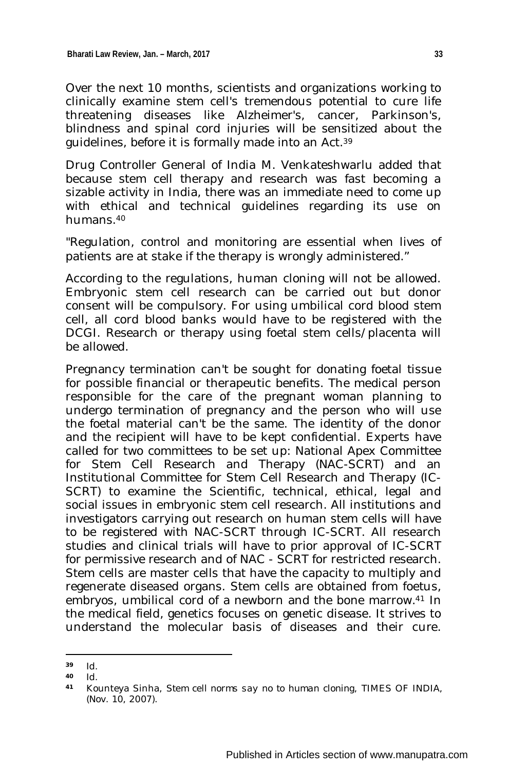Over the next 10 months, scientists and organizations working to clinically examine stem cell's tremendous potential to cure life threatening diseases like Alzheimer's, cancer, Parkinson's, blindness and spinal cord injuries will be sensitized about the guidelines, before it is formally made into an Act.<sup>39</sup>

Drug Controller General of India M. Venkateshwarlu added that because stem cell therapy and research was fast becoming a sizable activity in India, there was an immediate need to come up with ethical and technical quidelines regarding its use on humans.<sup>40</sup>

"Regulation, control and monitoring are essential when lives of patients are at stake if the therapy is wrongly administered."

According to the regulations, human cloning will not be allowed. Embryonic stem cell research can be carried out but donor consent will be compulsory. For using umbilical cord blood stem cell, all cord blood banks would have to be registered with the DCGI. Research or therapy using foetal stem cells/placenta will be allowed.

Pregnancy termination can't be sought for donating foetal tissue for possible financial or therapeutic benefits. The medical person responsible for the care of the pregnant woman planning to undergo termination of pregnancy and the person who will use the foetal material can't be the same. The identity of the donor and the recipient will have to be kept confidential. Experts have called for two committees to be set up: National Apex Committee for Stem Cell Research and Therapy (NAC-SCRT) and an Institutional Committee for Stem Cell Research and Therapy (IC-SCRT) to examine the Scientific, technical, ethical, legal and social issues in embryonic stem cell research. All institutions and investigators carrying out research on human stem cells will have to be registered with NAC-SCRT through IC-SCRT. All research studies and clinical trials will have to prior approval of IC-SCRT for permissive research and of NAC - SCRT for restricted research. Stem cells are master cells that have the capacity to multiply and regenerate diseased organs. Stem cells are obtained from foetus, embryos, umbilical cord of a newborn and the bone marrow.<sup>41</sup> In the medical field, genetics focuses on genetic disease. It strives to understand the molecular basis of diseases and their cure.

 $\overline{a}$ 

**<sup>39</sup>** *Id*.

**<sup>40</sup>** *Id.*

**<sup>41</sup>** Kounteya Sinha, *Stem cell norms say no to human cloning*, TIMES OF INDIA, (Nov. 10, 2007).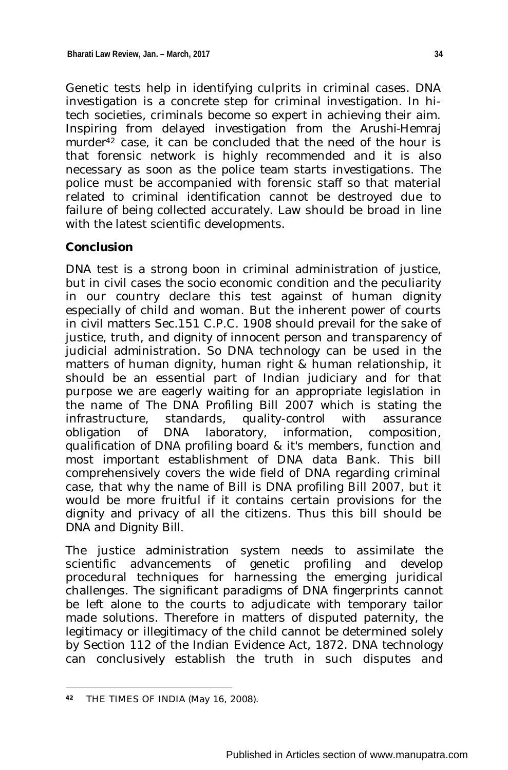Genetic tests help in identifying culprits in criminal cases. DNA investigation is a concrete step for criminal investigation. In hitech societies, criminals become so expert in achieving their aim. Inspiring from delayed investigation from the *Arushi-Hemraj murder*<sup>42</sup> case, it can be concluded that the need of the hour is that forensic network is highly recommended and it is also necessary as soon as the police team starts investigations. The police must be accompanied with forensic staff so that material related to criminal identification cannot be destroyed due to failure of being collected accurately. Law should be broad in line with the latest scientific developments.

# **Conclusion**

DNA test is a strong boon in criminal administration of justice, but in civil cases the socio economic condition and the peculiarity in our country declare this test against of human dignity especially of child and woman. But the inherent power of courts in civil matters Sec.151 C.P.C. 1908 should prevail for the sake of justice, truth, and dignity of innocent person and transparency of judicial administration. So DNA technology can be used in the matters of human dignity, human right & human relationship, it should be an essential part of Indian judiciary and for that purpose we are eagerly waiting for an appropriate legislation in the name of The DNA Profiling Bill 2007 which is stating the infrastructure, standards, quality-control with assurance obligation of DNA laboratory, information, composition, qualification of DNA profiling board & it's members, function and most important establishment of DNA data Bank. This bill comprehensively covers the wide field of DNA regarding criminal case, that why the name of Bill is DNA profiling Bill 2007, but it would be more fruitful if it contains certain provisions for the dignity and privacy of all the citizens. Thus this bill should be *DNA and Dignity Bill*.

The justice administration system needs to assimilate the scientific advancements of genetic profiling and develop procedural techniques for harnessing the emerging juridical challenges. The significant paradigms of DNA fingerprints cannot be left alone to the courts to adjudicate with temporary tailor made solutions. Therefore in matters of disputed paternity, the legitimacy or illegitimacy of the child cannot be determined solely by Section 112 of the Indian Evidence Act, 1872. DNA technology can conclusively establish the truth in such disputes and

 $\overline{a}$ **<sup>42</sup>** THE TIMES OF INDIA (May 16, 2008).